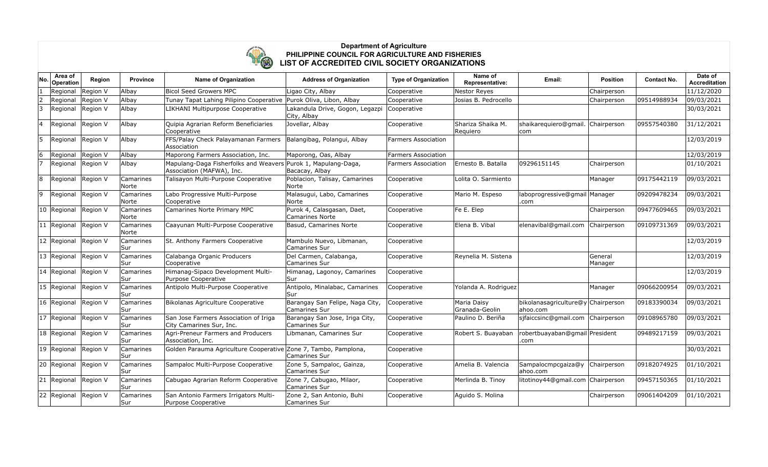

## **Department of Agriculture PHILIPPINE COUNCIL FOR AGRICULTURE AND FISHERIES LIST OF ACCREDITED CIVIL SOCIETY ORGANIZATIONS**

| No. | Area of<br>Operation | Region   | <b>Province</b>    | <b>Name of Organization</b>                                        | <b>Address of Organization</b>                          | <b>Type of Organization</b> | Name of<br>Representative:    | Email:                                          | <b>Position</b>    | <b>Contact No.</b> | Date of<br><b>Accreditation</b> |
|-----|----------------------|----------|--------------------|--------------------------------------------------------------------|---------------------------------------------------------|-----------------------------|-------------------------------|-------------------------------------------------|--------------------|--------------------|---------------------------------|
|     | Regional             | Region V | Albay              | <b>Bicol Seed Growers MPC</b>                                      | Ligao City, Albay                                       | Cooperative                 | <b>Nestor Reyes</b>           |                                                 | Chairperson        |                    | 11/12/2020                      |
|     | Regional             | Region V | Albay              | Tunay Tapat Lahing Pilipino Cooperative                            | Purok Oliva, Libon, Albay                               | Cooperative                 | Josias B. Pedrocello          |                                                 | Chairperson        | 09514988934        | 09/03/2021                      |
| 3   | Regional             | Region V | Albay              | LIKHANI Multipurpose Cooperative                                   | Lakandula Drive, Gogon, Legazpi<br>City, Albay          | Cooperative                 |                               |                                                 |                    |                    | 30/03/2021                      |
| 4   | Regional             | Region V | Albay              | Quipia Agrarian Reform Beneficiaries<br>Cooperative                | Jovellar, Albay                                         | Cooperative                 | Shariza Shaika M.<br>Requiero | shaikarequiero@qmail.<br> com                   | Chairperson        | 09557540380        | 31/12/2021                      |
| 15  | Regional             | Region V | Albay              | FFS/Palay Check Palayamanan Farmers<br>Association                 | Balangibag, Polangui, Albay                             | <b>Farmers Association</b>  |                               |                                                 |                    |                    | 12/03/2019                      |
| 6   | Regional             | Region V | Albay              | Maporong Farmers Association, Inc.                                 | Maporong, Oas, Albay                                    | <b>Farmers Association</b>  |                               |                                                 |                    |                    | 12/03/2019                      |
|     | Regional             | Region V | Albay              | Mapulang-Daga Fisherfolks and Weavers<br>Association (MAFWA), Inc. | Purok 1, Mapulang-Daga,<br>Bacacay, Albay               | <b>Farmers Association</b>  | Ernesto B. Batalla            | 09296151145                                     | Chairperson        |                    | 01/10/2021                      |
| 8   | Regional             | Region V | Camarines<br>Norte | Talisayon Multi-Purpose Cooperative                                | Poblacion, Talisay, Camarines<br>Norte                  | Cooperative                 | Lolita O. Sarmiento           |                                                 | Manager            | 09175442119        | 09/03/2021                      |
| 9   | Regional             | Region V | Camarines<br>Norte | Labo Progressive Multi-Purpose<br>Cooperative                      | Malasugui, Labo, Camarines<br>Norte                     | Cooperative                 | Mario M. Espeso               | laboprogressive@gmail Manager<br>.com           |                    | 09209478234        | 09/03/2021                      |
|     | 10 Regional          | Region V | Camarines<br>Norte | Camarines Norte Primary MPC                                        | Purok 4, Calasgasan, Daet,<br><b>Camarines Norte</b>    | Cooperative                 | Fe E. Elep                    |                                                 | Chairperson        | 09477609465        | 09/03/2021                      |
|     | 11 Regional          | Region V | Camarines<br>Norte | Caayunan Multi-Purpose Cooperative                                 | Basud, Camarines Norte                                  | Cooperative                 | Elena B. Vibal                | elenavibal@gmail.com                            | Chairperson        | 09109731369        | 09/03/2021                      |
|     | 12 Regional          | Region V | Camarines<br>Sur   | St. Anthony Farmers Cooperative                                    | Mambulo Nuevo, Libmanan,<br>Camarines Sur               | Cooperative                 |                               |                                                 |                    |                    | 12/03/2019                      |
|     | 13 Regional          | Region V | Camarines<br>Sur   | Calabanga Organic Producers<br>Cooperative                         | Del Carmen, Calabanga,<br><b>Camarines Sur</b>          | Cooperative                 | Reynelia M. Sistena           |                                                 | General<br>Manager |                    | 12/03/2019                      |
|     | 14 Regional          | Region V | Camarines<br>Sur   | Himanag-Sipaco Development Multi-<br>Purpose Cooperative           | Himanag, Lagonoy, Camarines<br>Sur                      | Cooperative                 |                               |                                                 |                    |                    | 12/03/2019                      |
|     | 15 Regional          | Region V | Camarines<br>Sur   | Antipolo Multi-Purpose Cooperative                                 | Antipolo, Minalabac, Camarines<br>Sur                   | Cooperative                 | Yolanda A. Rodriguez          |                                                 | Manager            | 09066200954        | 09/03/2021                      |
|     | 16 Regional          | Region V | Camarines<br>Sur   | Bikolanas Agriculture Cooperative                                  | Barangay San Felipe, Naga City,<br><b>Camarines Sur</b> | Cooperative                 | Maria Daisy<br>Granada-Geolin | bikolanasagriculture@y Chairperson<br>lahoo.com |                    | 09183390034        | 09/03/2021                      |
|     | 17 Regional          | Region V | Camarines<br>Sur   | San Jose Farmers Association of Iriga<br>City Camarines Sur, Inc.  | Barangay San Jose, Iriga City,<br><b>Camarines Sur</b>  | Cooperative                 | Paulino D. Beriña             | sifaiccsinc@gmail.com                           | Chairperson        | 09108965780        | 09/03/2021                      |
|     | 18 Regional          | Region V | Camarines<br>Sur   | Agri-Preneur Farmers and Producers<br>Association, Inc.            | Libmanan, Camarines Sur                                 | Cooperative                 | Robert S. Buayaban            | robertbuayaban@gmail President<br>.com          |                    | 09489217159        | 09/03/2021                      |
|     | 19 Regional          | Region V | Camarines<br>Sur   | Golden Parauma Agriculture Cooperative Zone 7, Tambo, Pamplona,    | Camarines Sur                                           | Cooperative                 |                               |                                                 |                    |                    | 30/03/2021                      |
|     | 20 Regional          | Region V | Camarines<br>Sur   | Sampaloc Multi-Purpose Cooperative                                 | Zone 5, Sampaloc, Gainza,<br><b>Camarines Sur</b>       | Cooperative                 | Amelia B. Valencia            | Sampalocmpcgaiza@y<br>ahoo.com                  | Chairperson        | 09182074925        | 01/10/2021                      |
|     | 21 Regional          | Region V | Camarines<br>Sur   | Cabugao Agrarian Reform Cooperative                                | Zone 7, Cabugao, Milaor,<br><b>Camarines Sur</b>        | Cooperative                 | Merlinda B. Tinoy             | litotinoy44@gmail.com Chairperson               |                    | 09457150365        | 01/10/2021                      |
|     | 22 Regional          | Region V | Camarines<br>Sur   | San Antonio Farmers Irrigators Multi-<br>Purpose Cooperative       | Zone 2, San Antonio, Buhi<br><b>Camarines Sur</b>       | Cooperative                 | Aguido S. Molina              |                                                 | Chairperson        | 09061404209        | 01/10/2021                      |